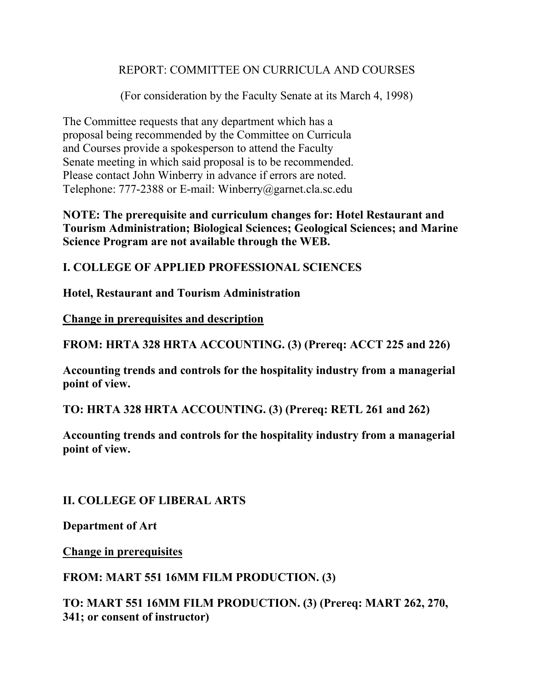### REPORT: COMMITTEE ON CURRICULA AND COURSES

(For consideration by the Faculty Senate at its March 4, 1998)

The Committee requests that any department which has a proposal being recommended by the Committee on Curricula and Courses provide a spokesperson to attend the Faculty Senate meeting in which said proposal is to be recommended. Please contact John Winberry in advance if errors are noted. Telephone: 777-2388 or E-mail: Winberry@garnet.cla.sc.edu

**NOTE: The prerequisite and curriculum changes for: Hotel Restaurant and Tourism Administration; Biological Sciences; Geological Sciences; and Marine Science Program are not available through the WEB.**

**I. COLLEGE OF APPLIED PROFESSIONAL SCIENCES**

**Hotel, Restaurant and Tourism Administration**

**Change in prerequisites and description**

**FROM: HRTA 328 HRTA ACCOUNTING. (3) (Prereq: ACCT 225 and 226)**

**Accounting trends and controls for the hospitality industry from a managerial point of view.**

**TO: HRTA 328 HRTA ACCOUNTING. (3) (Prereq: RETL 261 and 262)**

**Accounting trends and controls for the hospitality industry from a managerial point of view.**

**II. COLLEGE OF LIBERAL ARTS**

**Department of Art**

**Change in prerequisites**

**FROM: MART 551 16MM FILM PRODUCTION. (3)**

**TO: MART 551 16MM FILM PRODUCTION. (3) (Prereq: MART 262, 270, 341; or consent of instructor)**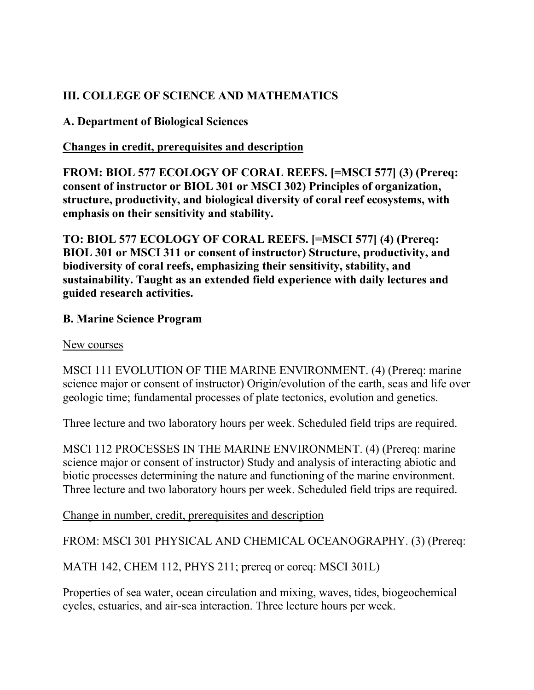# **III. COLLEGE OF SCIENCE AND MATHEMATICS**

**A. Department of Biological Sciences**

## **Changes in credit, prerequisites and description**

**FROM: BIOL 577 ECOLOGY OF CORAL REEFS. [=MSCI 577] (3) (Prereq: consent of instructor or BIOL 301 or MSCI 302) Principles of organization, structure, productivity, and biological diversity of coral reef ecosystems, with emphasis on their sensitivity and stability.**

**TO: BIOL 577 ECOLOGY OF CORAL REEFS. [=MSCI 577] (4) (Prereq: BIOL 301 or MSCI 311 or consent of instructor) Structure, productivity, and biodiversity of coral reefs, emphasizing their sensitivity, stability, and sustainability. Taught as an extended field experience with daily lectures and guided research activities.**

### **B. Marine Science Program**

### New courses

MSCI 111 EVOLUTION OF THE MARINE ENVIRONMENT. (4) (Prereq: marine science major or consent of instructor) Origin/evolution of the earth, seas and life over geologic time; fundamental processes of plate tectonics, evolution and genetics.

Three lecture and two laboratory hours per week. Scheduled field trips are required.

MSCI 112 PROCESSES IN THE MARINE ENVIRONMENT. (4) (Prereq: marine science major or consent of instructor) Study and analysis of interacting abiotic and biotic processes determining the nature and functioning of the marine environment. Three lecture and two laboratory hours per week. Scheduled field trips are required.

Change in number, credit, prerequisites and description

FROM: MSCI 301 PHYSICAL AND CHEMICAL OCEANOGRAPHY. (3) (Prereq:

MATH 142, CHEM 112, PHYS 211; prereq or coreq: MSCI 301L)

Properties of sea water, ocean circulation and mixing, waves, tides, biogeochemical cycles, estuaries, and air-sea interaction. Three lecture hours per week.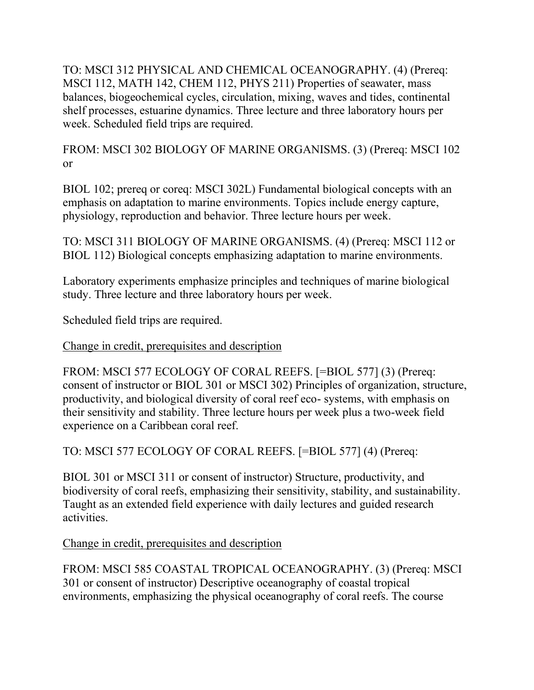TO: MSCI 312 PHYSICAL AND CHEMICAL OCEANOGRAPHY. (4) (Prereq: MSCI 112, MATH 142, CHEM 112, PHYS 211) Properties of seawater, mass balances, biogeochemical cycles, circulation, mixing, waves and tides, continental shelf processes, estuarine dynamics. Three lecture and three laboratory hours per week. Scheduled field trips are required.

FROM: MSCI 302 BIOLOGY OF MARINE ORGANISMS. (3) (Prereq: MSCI 102 or

BIOL 102; prereq or coreq: MSCI 302L) Fundamental biological concepts with an emphasis on adaptation to marine environments. Topics include energy capture, physiology, reproduction and behavior. Three lecture hours per week.

TO: MSCI 311 BIOLOGY OF MARINE ORGANISMS. (4) (Prereq: MSCI 112 or BIOL 112) Biological concepts emphasizing adaptation to marine environments.

Laboratory experiments emphasize principles and techniques of marine biological study. Three lecture and three laboratory hours per week.

Scheduled field trips are required.

Change in credit, prerequisites and description

FROM: MSCI 577 ECOLOGY OF CORAL REEFS. [=BIOL 577] (3) (Prereq: consent of instructor or BIOL 301 or MSCI 302) Principles of organization, structure, productivity, and biological diversity of coral reef eco- systems, with emphasis on their sensitivity and stability. Three lecture hours per week plus a two-week field experience on a Caribbean coral reef.

TO: MSCI 577 ECOLOGY OF CORAL REEFS. [=BIOL 577] (4) (Prereq:

BIOL 301 or MSCI 311 or consent of instructor) Structure, productivity, and biodiversity of coral reefs, emphasizing their sensitivity, stability, and sustainability. Taught as an extended field experience with daily lectures and guided research activities.

Change in credit, prerequisites and description

FROM: MSCI 585 COASTAL TROPICAL OCEANOGRAPHY. (3) (Prereq: MSCI 301 or consent of instructor) Descriptive oceanography of coastal tropical environments, emphasizing the physical oceanography of coral reefs. The course